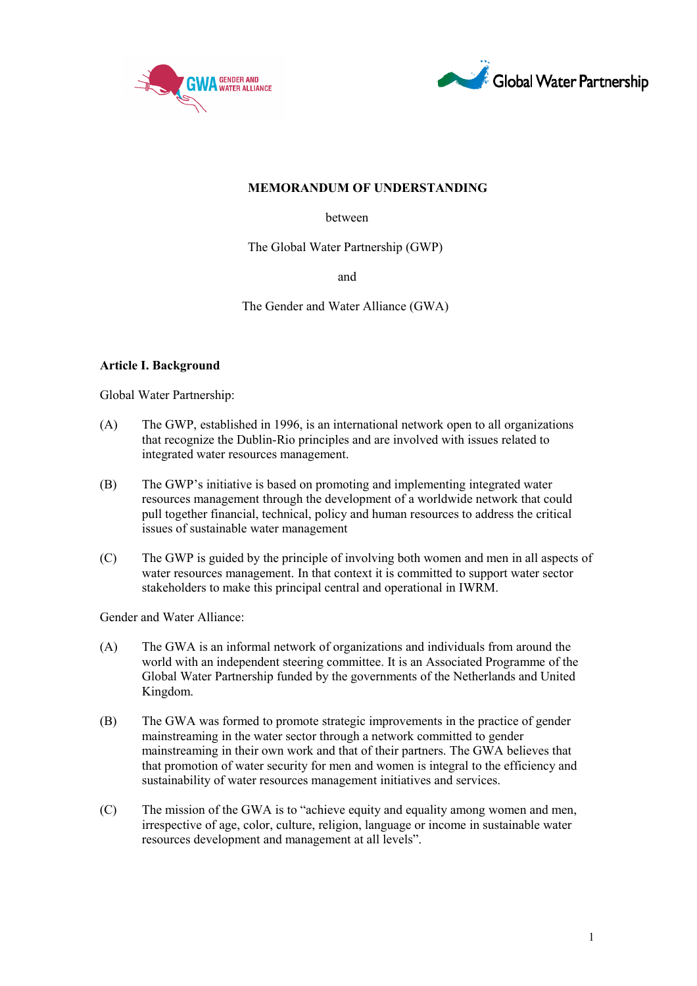



# **MEMORANDUM OF UNDERSTANDING**

between

The Global Water Partnership (GWP)

and

The Gender and Water Alliance (GWA)

# **Article I. Background**

Global Water Partnership:

- (A) The GWP, established in 1996, is an international network open to all organizations that recognize the Dublin-Rio principles and are involved with issues related to integrated water resources management.
- (B) The GWP's initiative is based on promoting and implementing integrated water resources management through the development of a worldwide network that could pull together financial, technical, policy and human resources to address the critical issues of sustainable water management
- (C) The GWP is guided by the principle of involving both women and men in all aspects of water resources management. In that context it is committed to support water sector stakeholders to make this principal central and operational in IWRM.

Gender and Water Alliance:

- (A) The GWA is an informal network of organizations and individuals from around the world with an independent steering committee. It is an Associated Programme of the Global Water Partnership funded by the governments of the Netherlands and United Kingdom.
- (B) The GWA was formed to promote strategic improvements in the practice of gender mainstreaming in the water sector through a network committed to gender mainstreaming in their own work and that of their partners. The GWA believes that that promotion of water security for men and women is integral to the efficiency and sustainability of water resources management initiatives and services.
- (C) The mission of the GWA is to "achieve equity and equality among women and men, irrespective of age, color, culture, religion, language or income in sustainable water resources development and management at all levels".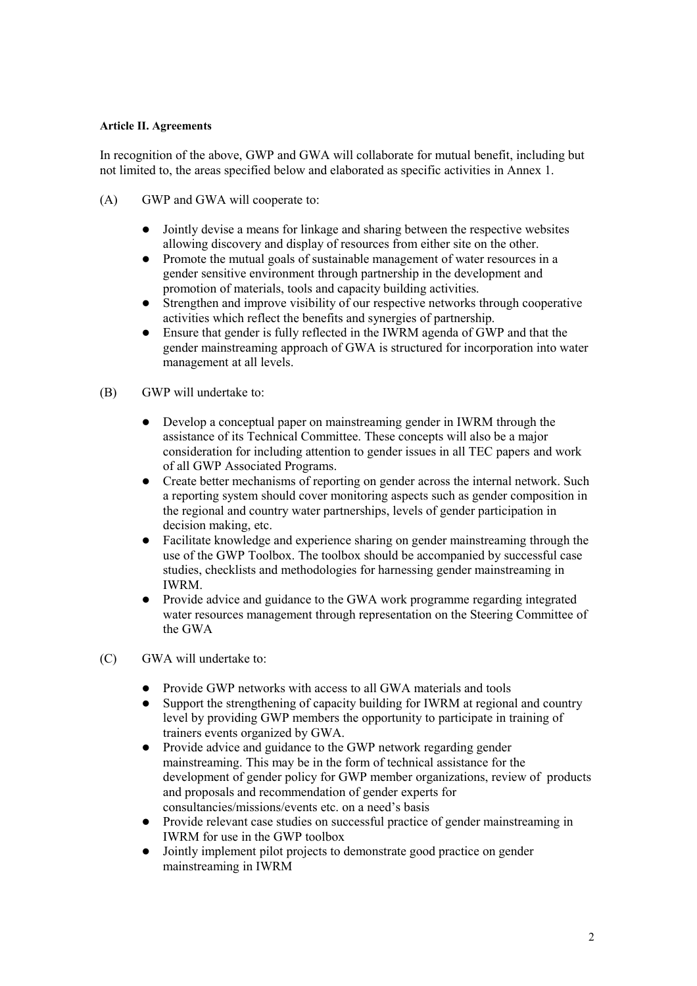### **Article II. Agreements**

In recognition of the above, GWP and GWA will collaborate for mutual benefit, including but not limited to, the areas specified below and elaborated as specific activities in Annex 1.

- (A) GWP and GWA will cooperate to:
	- Jointly devise a means for linkage and sharing between the respective websites allowing discovery and display of resources from either site on the other.
	- Promote the mutual goals of sustainable management of water resources in a gender sensitive environment through partnership in the development and promotion of materials, tools and capacity building activities.
	- Strengthen and improve visibility of our respective networks through cooperative activities which reflect the benefits and synergies of partnership.
	- Ensure that gender is fully reflected in the IWRM agenda of GWP and that the gender mainstreaming approach of GWA is structured for incorporation into water management at all levels.

### (B) GWP will undertake to:

- Develop a conceptual paper on mainstreaming gender in IWRM through the assistance of its Technical Committee. These concepts will also be a major consideration for including attention to gender issues in all TEC papers and work of all GWP Associated Programs.
- Create better mechanisms of reporting on gender across the internal network. Such a reporting system should cover monitoring aspects such as gender composition in the regional and country water partnerships, levels of gender participation in decision making, etc.
- Facilitate knowledge and experience sharing on gender mainstreaming through the use of the GWP Toolbox. The toolbox should be accompanied by successful case studies, checklists and methodologies for harnessing gender mainstreaming in **IWRM**
- Provide advice and guidance to the GWA work programme regarding integrated water resources management through representation on the Steering Committee of the GWA
- (C) GWA will undertake to:
	- Provide GWP networks with access to all GWA materials and tools
	- Support the strengthening of capacity building for IWRM at regional and country level by providing GWP members the opportunity to participate in training of trainers events organized by GWA.
	- Provide advice and guidance to the GWP network regarding gender mainstreaming. This may be in the form of technical assistance for the development of gender policy for GWP member organizations, review of products and proposals and recommendation of gender experts for consultancies/missions/events etc. on a need's basis
	- Provide relevant case studies on successful practice of gender mainstreaming in IWRM for use in the GWP toolbox
	- Jointly implement pilot projects to demonstrate good practice on gender mainstreaming in IWRM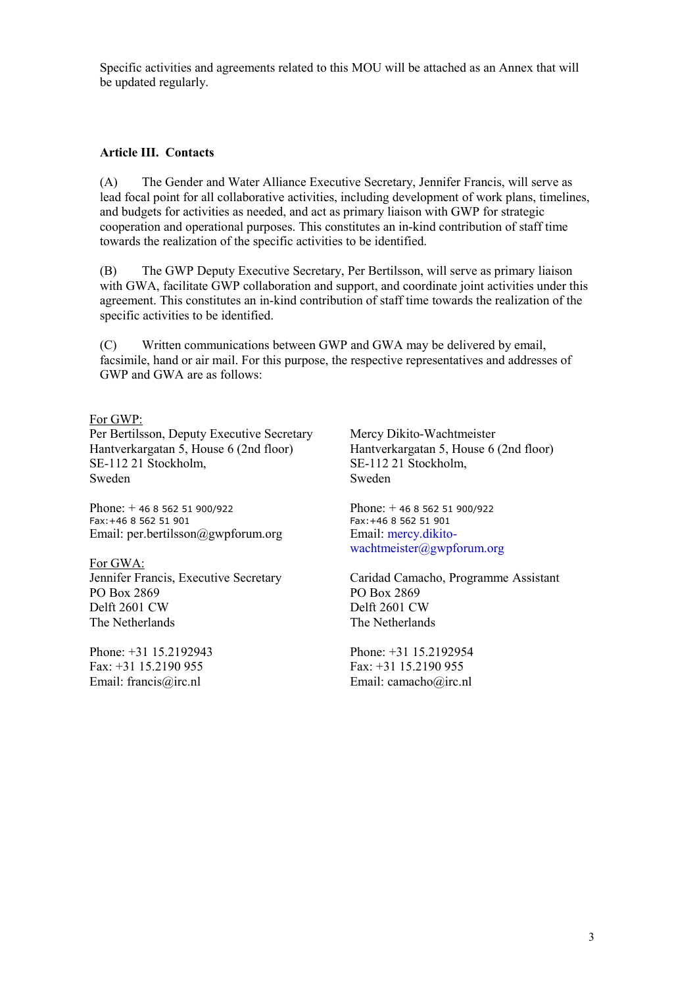Specific activities and agreements related to this MOU will be attached as an Annex that will be updated regularly.

#### **Article III. Contacts**

(A) The Gender and Water Alliance Executive Secretary, Jennifer Francis, will serve as lead focal point for all collaborative activities, including development of work plans, timelines, and budgets for activities as needed, and act as primary liaison with GWP for strategic cooperation and operational purposes. This constitutes an in-kind contribution of staff time towards the realization of the specific activities to be identified.

(B) The GWP Deputy Executive Secretary, Per Bertilsson, will serve as primary liaison with GWA, facilitate GWP collaboration and support, and coordinate joint activities under this agreement. This constitutes an in-kind contribution of staff time towards the realization of the specific activities to be identified.

(C) Written communications between GWP and GWA may be delivered by email, facsimile, hand or air mail. For this purpose, the respective representatives and addresses of GWP and GWA are as follows:

#### For GWP:

Per Bertilsson, Deputy Executive Secretary Hantverkargatan 5, House 6 (2nd floor) SE-112 21 Stockholm, Sweden

Phone: + 46 8 562 51 900/922 Fax:+46 8 562 51 901 Email: per.bertilsson@gwpforum.org

For GWA: Jennifer Francis, Executive Secretary PO Box 2869 Delft 2601 CW The Netherlands

Phone: +31 15.2192943 Fax: +31 15.2190 955 Email: francis@irc.nl

Mercy Dikito-Wachtmeister Hantverkargatan 5, House 6 (2nd floor) SE-112 21 Stockholm, Sweden

Phone: + 46 8 562 51 900/922 Fax:+46 8 562 51 901 Email: [mercy.dikito](mailto:mercy.dikito-wachtmeister@gwpforum.org)[wachtmeister@gwpforum.org](mailto:mercy.dikito-wachtmeister@gwpforum.org)

Caridad Camacho, Programme Assistant PO Box 2869 Delft 2601 CW The Netherlands

Phone: +31 15.2192954 Fax: +31 15.2190 955 Email: camacho@irc.nl